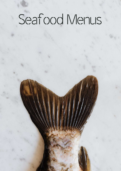# Seafood Menus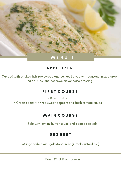

Canapé with smoked fish-roe spread and caviar. Served with seasonal mixed green salad, nuts, and cashews mayonnaise dressing

#### **FIRST COURSE**

• Basmati rice

• Green beans with red sweet peppers and fresh tomato sauce

#### **MAIN COURSE**

Sole with lemon-butter sauce and coarse sea salt

# **DESSERT**

Mango sorbet with galaktoboureko (Greek custard pie)

Menu: 95 EUR per person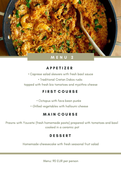

• Caprese salad skewers with fresh basil sauce

• Traditional Cretan Dakos rusks

topped with fresh bio tomatoes and myzithra cheese

#### **FIRST COURSE**

• Octopus with fava bean purée

• Grilled vegetables with halloumi cheese

# **MAIN COURSE**

Prawns with Youvetsi (fresh homemade pasta) prepared with tomatoes and basil cooked in a ceramic pot

#### **DESSERT**

Homemade cheesecake with fresh seasonal fruit salad

Menu: 90 EUR per person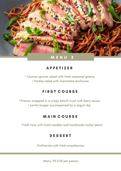

• Quinoa sprouts salad with fresh seasonal greens

• Parsley salad with marinated anchovies

# **FIRST COURSE**

• Prawns wrapped in a crispy kataifi crust with berry sauce

• Lentils burger accompanied by a yogurt dip

# **MAIN COURSE**

Fresh tuna with fried noodles and handmade rocket pesto

# **DESSERT**

Profiterole with fresh strawberries

Menu: 95 EUR per person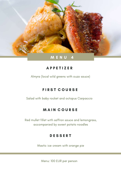

Almyra (local wild greens with ouzo sauce)

# **FIRST COURSE**

Salad with baby rocket and octopus Carpaccio

# **MAIN COURSE**

Red mullet fillet with saffron sauce and lemongrass, accompanied by sweet potato noodles

#### **DESSERT**

Mastic ice cream with orange pie

Menu: 100 EUR per person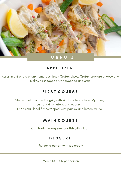

Assortiment of bio cherry tomatoes, fresh Cretan olives, Cretan graviera cheese and Dakos rusks topped with avocado and crab

#### **FIRST COURSE**

- Stuffed calamari on the grill, with xinotyri cheese from Mykonos, sun-dried tomatoes and capers
	- Fried small local fishes topped with parsley and lemon sauce

#### MAIN COURSE

Catch-of-the-day grouper fish with okra

#### **DESSERT**

Pistachio parfait with ice cream

Menu: 100 EUR per person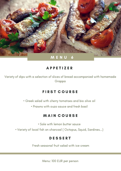

Variety of dips with a selection of slices of bread accompanied with homemade Grappa

#### **FIRST COURSE**

• Greek salad with cherry tomatoes and bio olive oil

• Prawns with ouzo sauce and fresh basil

#### **MAIN COURSE**

• Sole with lemon butter sauce

• Variety of local fish on charcoal ( Octopus, Squid, Sardines...)

#### **DESSERT**

Fresh seasonal fruit salad with ice cream

Menu: 100 EUR per person